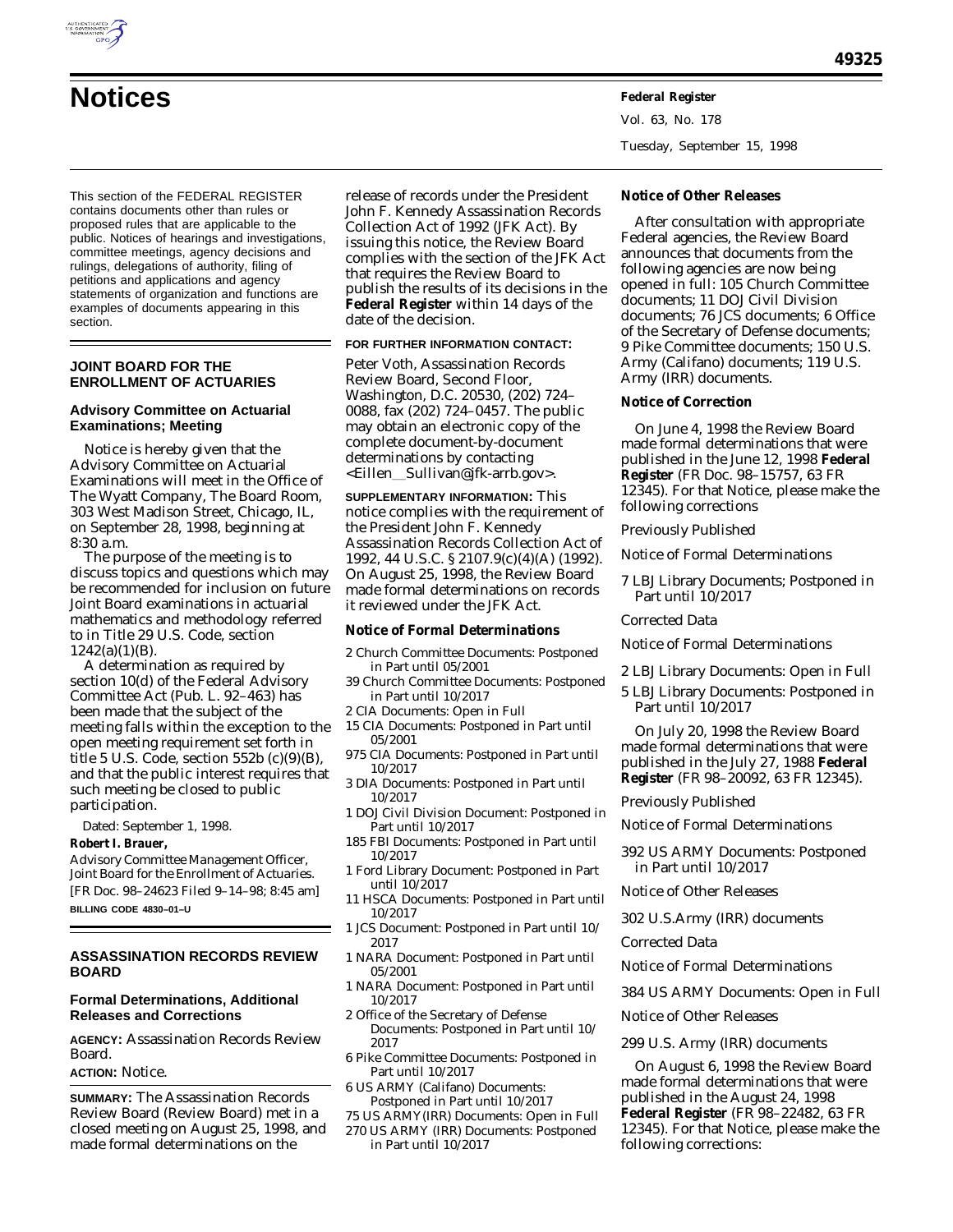

**49325**

Vol. 63, No. 178

Tuesday, September 15, 1998

This section of the FEDERAL REGISTER contains documents other than rules or proposed rules that are applicable to the public. Notices of hearings and investigations, committee meetings, agency decisions and rulings, delegations of authority, filing of petitions and applications and agency statements of organization and functions are examples of documents appearing in this section.

# **JOINT BOARD FOR THE ENROLLMENT OF ACTUARIES**

# **Advisory Committee on Actuarial Examinations; Meeting**

Notice is hereby given that the Advisory Committee on Actuarial Examinations will meet in the Office of The Wyatt Company, The Board Room, 303 West Madison Street, Chicago, IL, on September 28, 1998, beginning at 8:30 a.m.

The purpose of the meeting is to discuss topics and questions which may be recommended for inclusion on future Joint Board examinations in actuarial mathematics and methodology referred to in Title 29 U.S. Code, section  $1242(a)(1)(B)$ .

A determination as required by section 10(d) of the Federal Advisory Committee Act (Pub. L. 92–463) has been made that the subject of the meeting falls within the exception to the open meeting requirement set forth in title 5 U.S. Code, section  $552b$  (c)(9)(B), and that the public interest requires that such meeting be closed to public participation.

Dated: September 1, 1998.

# **Robert I. Brauer,**

*Advisory Committee Management Officer, Joint Board for the Enrollment of Actuaries.* [FR Doc. 98–24623 Filed 9–14–98; 8:45 am] **BILLING CODE 4830–01–U**

# **ASSASSINATION RECORDS REVIEW BOARD**

# **Formal Determinations, Additional Releases and Corrections**

**AGENCY:** Assassination Records Review Board.

# **ACTION:** Notice.

**SUMMARY:** The Assassination Records Review Board (Review Board) met in a closed meeting on August 25, 1998, and made formal determinations on the

release of records under the President John F. Kennedy Assassination Records Collection Act of 1992 (JFK Act). By issuing this notice, the Review Board complies with the section of the JFK Act that requires the Review Board to publish the results of its decisions in the **Federal Register** within 14 days of the date of the decision.

### **FOR FURTHER INFORMATION CONTACT:**

Peter Voth, Assassination Records Review Board, Second Floor, Washington, D.C. 20530, (202) 724– 0088, fax (202) 724–0457. The public may obtain an electronic copy of the complete document-by-document determinations by contacting <Eillen\_Sullivan@jfk-arrb.gov>.

**SUPPLEMENTARY INFORMATION:** This notice complies with the requirement of the President John F. Kennedy Assassination Records Collection Act of 1992, 44 U.S.C. § 2107.9(c)(4)(A) (1992). On August 25, 1998, the Review Board made formal determinations on records it reviewed under the JFK Act.

# **Notice of Formal Determinations**

- 2 Church Committee Documents: Postponed in Part until 05/2001
- 39 Church Committee Documents: Postponed in Part until 10/2017
- 2 CIA Documents: Open in Full
- 15 CIA Documents: Postponed in Part until 05/2001
- 975 CIA Documents: Postponed in Part until 10/2017
- 3 DIA Documents: Postponed in Part until 10/2017
- 1 DOJ Civil Division Document: Postponed in Part until 10/2017
- 185 FBI Documents: Postponed in Part until 10/2017
- 1 Ford Library Document: Postponed in Part until 10/2017
- 11 HSCA Documents: Postponed in Part until 10/2017
- 1 JCS Document: Postponed in Part until 10/ 2017
- 1 NARA Document: Postponed in Part until 05/2001
- 1 NARA Document: Postponed in Part until 10/2017
- 2 Office of the Secretary of Defense

Documents: Postponed in Part until 10/ 2017

6 Pike Committee Documents: Postponed in Part until 10/2017

**S ARMY (Califano) Documents:** Postponed in Part until 10/2017

- 75 US ARMY(IRR) Documents: Open in Full
- 270 US ARMY (IRR) Documents: Postponed in Part until 10/2017

# **Notice of Other Releases**

After consultation with appropriate Federal agencies, the Review Board announces that documents from the following agencies are now being opened in full: 105 Church Committee documents; 11 DOJ Civil Division documents; 76 JCS documents; 6 Office of the Secretary of Defense documents; 9 Pike Committee documents; 150 U.S. Army (Califano) documents; 119 U.S. Army (IRR) documents.

# **Notice of Correction**

On June 4, 1998 the Review Board made formal determinations that were published in the June 12, 1998 **Federal Register** (FR Doc. 98–15757, 63 FR 12345). For that Notice, please make the following corrections

#### *Previously Published*

Notice of Formal Determinations

7 LBJ Library Documents; Postponed in Part until 10/2017

#### *Corrected Data*

Notice of Formal Determinations

- 2 LBJ Library Documents: Open in Full
- 5 LBJ Library Documents: Postponed in Part until 10/2017

On July 20, 1998 the Review Board made formal determinations that were published in the July 27, 1988 **Federal Register** (FR 98–20092, 63 FR 12345).

# *Previously Published*

Notice of Formal Determinations

392 US ARMY Documents: Postponed in Part until 10/2017

Notice of Other Releases

302 U.S.Army (IRR) documents

*Corrected Data*

Notice of Formal Determinations

384 US ARMY Documents: Open in Full

Notice of Other Releases

# 299 U.S. Army (IRR) documents

On August 6, 1998 the Review Board made formal determinations that were published in the August 24, 1998 **Federal Register** (FR 98–22482, 63 FR 12345). For that Notice, please make the following corrections: